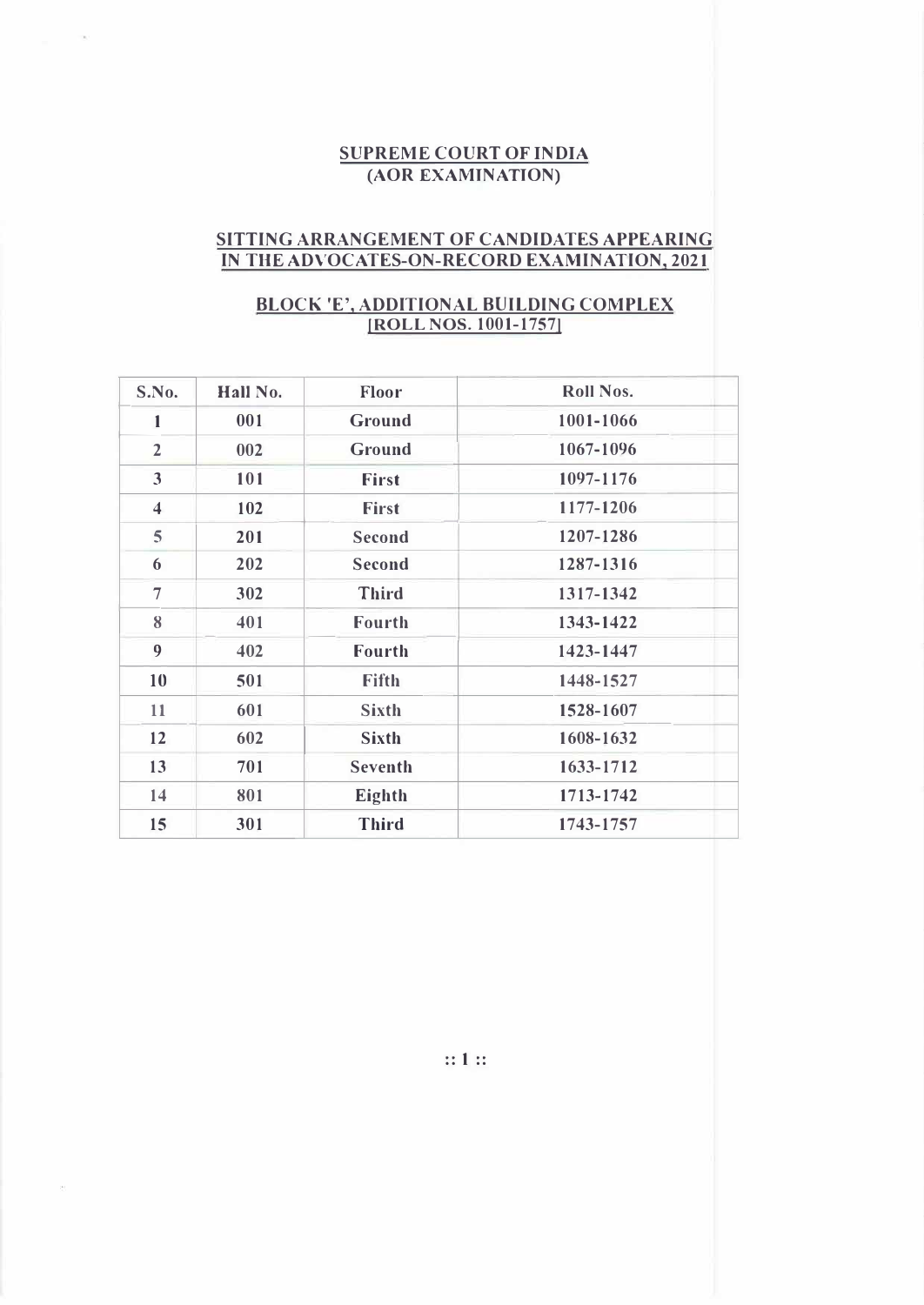## **SUPREME COURT OF INDIA (AOR EXAMINATION)**

## **SITTING ARRANGEMENT OF CANDIDATES APPEARING IN THE ADVOCATES-ON-RECORD EXAMINATION, 2021**

## **BLOCK 'E', ADDITIONAL BUILDING COMPLEX (ROLL NOS. 1001-1757!**

| S.No.                   | Hall No. | Floor          | Roll Nos. |
|-------------------------|----------|----------------|-----------|
| 1                       | 001      | Ground         | 1001-1066 |
| $\overline{2}$          | 002      | Ground         | 1067-1096 |
| 3                       | 101      | <b>First</b>   | 1097-1176 |
| $\overline{\mathbf{4}}$ | 102      | <b>First</b>   | 1177-1206 |
| 5                       | 201      | Second         | 1207-1286 |
| 6                       | 202      | <b>Second</b>  | 1287-1316 |
| $\overline{7}$          | 302      | <b>Third</b>   | 1317-1342 |
| 8                       | 401      | Fourth         | 1343-1422 |
| 9                       | 402      | <b>Fourth</b>  | 1423-1447 |
| 10                      | 501      | <b>Fifth</b>   | 1448-1527 |
| 11                      | 601      | <b>Sixth</b>   | 1528-1607 |
| 12                      | 602      | <b>Sixth</b>   | 1608-1632 |
| 13                      | 701      | <b>Seventh</b> | 1633-1712 |
| 14                      | 801      | Eighth         | 1713-1742 |
| 15                      | 301      | <b>Third</b>   | 1743-1757 |

**:: 1 ::**